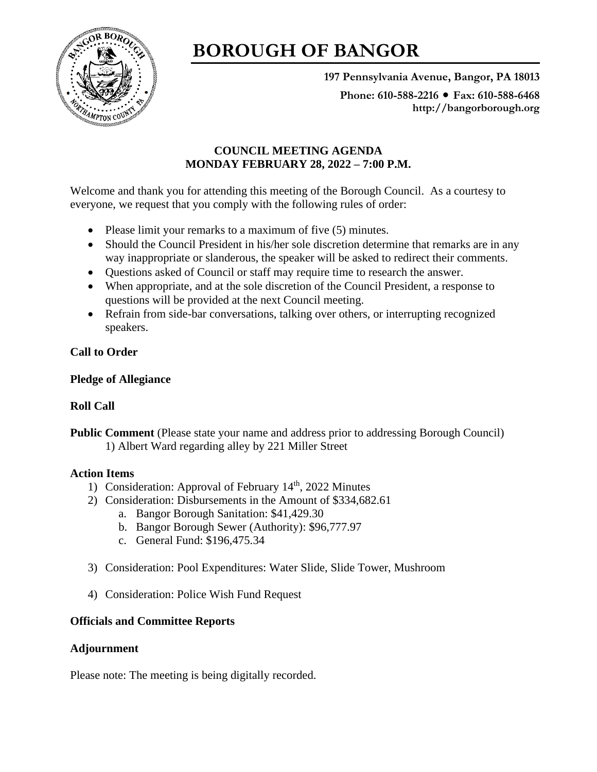

# **BOROUGH OF BANGOR**

**197 Pennsylvania Avenue, Bangor, PA 18013**

**Phone: 610-588-2216 Fax: 610-588-6468 http://bangorborough.org**

## **COUNCIL MEETING AGENDA MONDAY FEBRUARY 28, 2022 – 7:00 P.M.**

Welcome and thank you for attending this meeting of the Borough Council. As a courtesy to everyone, we request that you comply with the following rules of order:

- Please limit your remarks to a maximum of five (5) minutes.
- Should the Council President in his/her sole discretion determine that remarks are in any way inappropriate or slanderous, the speaker will be asked to redirect their comments.
- Questions asked of Council or staff may require time to research the answer.
- When appropriate, and at the sole discretion of the Council President, a response to questions will be provided at the next Council meeting.
- Refrain from side-bar conversations, talking over others, or interrupting recognized speakers.

## **Call to Order**

## **Pledge of Allegiance**

## **Roll Call**

**Public Comment** (Please state your name and address prior to addressing Borough Council) 1) Albert Ward regarding alley by 221 Miller Street

#### **Action Items**

- 1) Consideration: Approval of February 14<sup>th</sup>, 2022 Minutes
- 2) Consideration: Disbursements in the Amount of \$334,682.61
	- a. Bangor Borough Sanitation: \$41,429.30
	- b. Bangor Borough Sewer (Authority): \$96,777.97
	- c. General Fund: \$196,475.34
- 3) Consideration: Pool Expenditures: Water Slide, Slide Tower, Mushroom
- 4) Consideration: Police Wish Fund Request

## **Officials and Committee Reports**

## **Adjournment**

Please note: The meeting is being digitally recorded.